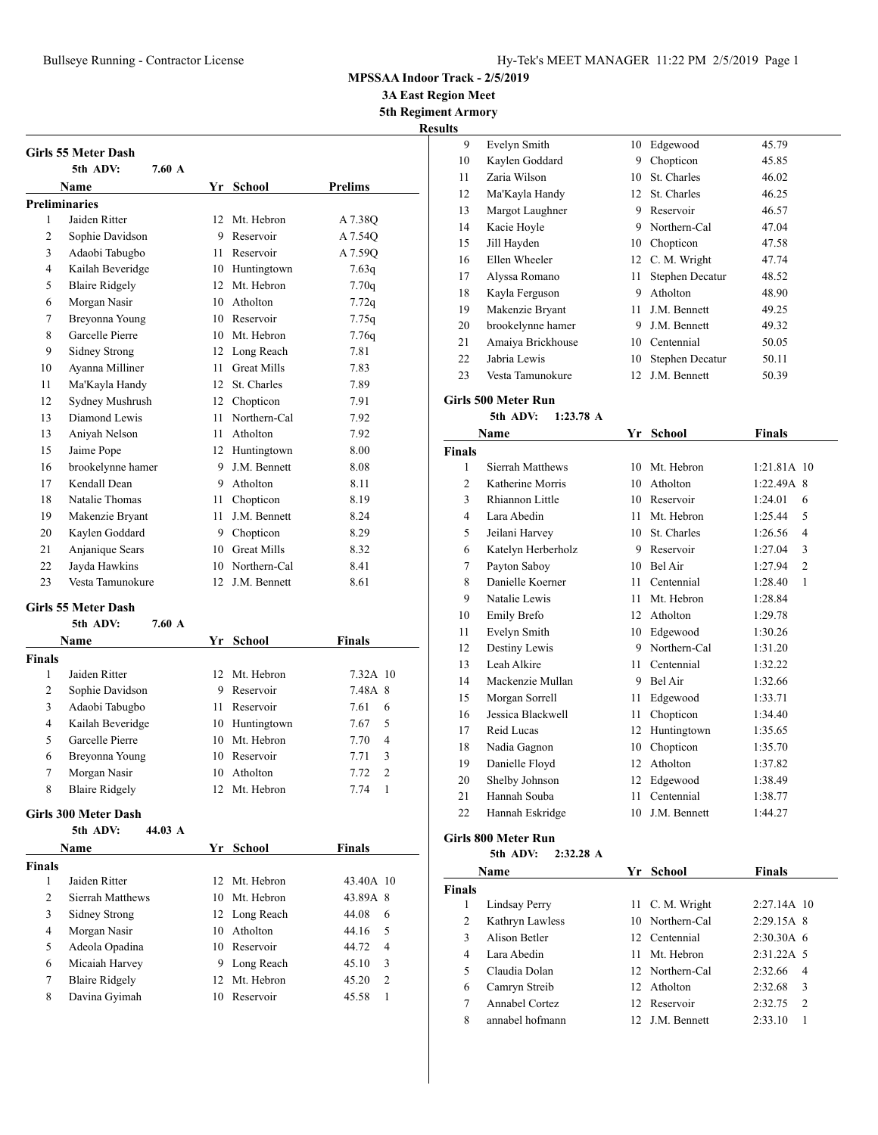# Bullseye Running - Contractor License Hy-Tek's MEET MANAGER 11:22 PM 2/5/2019 Page 1

### **MPSSAA Indoor Track - 2/5/2019**

**3A East Region Meet 5th Regiment Armory**

**Results**

|                | <b>Girls 55 Meter Dash</b>   |    |                    |                |
|----------------|------------------------------|----|--------------------|----------------|
|                | 5th ADV:<br>$7.60 \text{ A}$ |    |                    |                |
|                | Name                         | Yr | School             | <b>Prelims</b> |
|                | <b>Preliminaries</b>         |    |                    |                |
| 1              | Jaiden Ritter                | 12 | Mt. Hebron         | A 7.38Q        |
| $\overline{c}$ | Sophie Davidson              | 9  | Reservoir          | A 7.540        |
| 3              | Adaobi Tabugbo               | 11 | Reservoir          | A 7.590        |
| 4              | Kailah Beveridge             | 10 | Huntingtown        | 7.63q          |
| 5              | <b>Blaire Ridgely</b>        | 12 | Mt. Hebron         | 7.70q          |
| 6              | Morgan Nasir                 | 10 | Atholton           | 7.72q          |
| 7              | Breyonna Young               | 10 | Reservoir          | 7.75q          |
| 8              | Garcelle Pierre              | 10 | Mt. Hebron         | 7.76q          |
| 9              | Sidney Strong                | 12 | Long Reach         | 7.81           |
| 10             | Ayanna Milliner              | 11 | <b>Great Mills</b> | 7.83           |
| 11             | Ma'Kayla Handy               | 12 | St. Charles        | 7.89           |
| 12             | Sydney Mushrush              | 12 | Chopticon          | 7.91           |
| 13             | Diamond Lewis                | 11 | Northern-Cal       | 7.92           |
| 13             | Aniyah Nelson                | 11 | Atholton           | 7.92           |
| 15             | Jaime Pope                   | 12 | Huntingtown        | 8.00           |
| 16             | brookelynne hamer            | 9  | J.M. Bennett       | 8.08           |
| 17             | Kendall Dean                 | 9  | Atholton           | 8.11           |
| 18             | Natalie Thomas               | 11 | Chopticon          | 8.19           |
| 19             | Makenzie Bryant              | 11 | J.M. Bennett       | 8.24           |
| 20             | Kaylen Goddard               | 9  | Chopticon          | 8.29           |
| 21             | Anjanique Sears              | 10 | <b>Great Mills</b> | 8.32           |
| 22             | Jayda Hawkins                | 10 | Northern-Cal       | 8.41           |
| 23             | Vesta Tamunokure             | 12 | J.M. Bennett       | 8.61           |
|                |                              |    |                    |                |

## **Girls 55 Meter Dash**

|        | 5th ADV:              | $7.60\;A$ |     |               |               |                |
|--------|-----------------------|-----------|-----|---------------|---------------|----------------|
|        | Name                  |           |     | Yr School     | <b>Finals</b> |                |
| Finals |                       |           |     |               |               |                |
| 1      | Jaiden Ritter         |           |     | 12 Mt. Hebron | 7.32A 10      |                |
| 2      | Sophie Davidson       |           | 9   | Reservoir     | 7.48A 8       |                |
| 3      | Adaobi Tabugbo        |           | 11. | Reservoir     | 7.61          | 6              |
| 4      | Kailah Beveridge      |           | 10  | Huntingtown   | 7.67          | 5              |
| 5      | Garcelle Pierre       |           | 10  | Mt. Hebron    | 7.70          | $\overline{4}$ |
| 6      | Breyonna Young        |           |     | 10 Reservoir  | 7.71          | 3              |
| 7      | Morgan Nasir          |           | 10  | Atholton      | 7.72          | $\mathcal{D}$  |
| 8      | <b>Blaire Ridgely</b> |           | 12. | Mt. Hebron    | 7.74          | 1              |
|        |                       |           |     |               |               |                |

#### **Girls 300 Meter Dash**

|               | 44.03 A<br>5th ADV:   |    |               |                         |
|---------------|-----------------------|----|---------------|-------------------------|
|               | Name                  |    | Yr School     | <b>Finals</b>           |
| <b>Finals</b> |                       |    |               |                         |
|               | Jaiden Ritter         |    | 12 Mt. Hebron | 43.40A 10               |
| 2             | Sierrah Matthews      |    | 10 Mt. Hebron | 43.89A 8                |
| 3             | Sidney Strong         |    | 12 Long Reach | 44.08<br>6              |
| 4             | Morgan Nasir          | 10 | Atholton      | 5<br>44.16              |
| 5             | Adeola Opadina        |    | 10 Reservoir  | 44.72<br>$\overline{4}$ |
| 6             | Micaiah Harvey        | 9  | Long Reach    | 3<br>45.10              |
| 7             | <b>Blaire Ridgely</b> |    | 12 Mt. Hebron | $\overline{c}$<br>45.20 |
| 8             | Davina Gyimah         | 10 | Reservoir     | 45.58                   |

| 9  | Evelyn Smith      | 10  | Edgewood        | 45.79 |
|----|-------------------|-----|-----------------|-------|
| 10 | Kaylen Goddard    | 9   | Chopticon       | 45.85 |
| 11 | Zaria Wilson      | 10  | St. Charles     | 46.02 |
| 12 | Ma'Kayla Handy    | 12  | St. Charles     | 46.25 |
| 13 | Margot Laughner   | 9   | Reservoir       | 46.57 |
| 14 | Kacie Hoyle       | 9.  | Northern-Cal    | 47.04 |
| 15 | Jill Hayden       | 10  | Chopticon       | 47.58 |
| 16 | Ellen Wheeler     |     | 12 C. M. Wright | 47.74 |
| 17 | Alyssa Romano     | 11  | Stephen Decatur | 48.52 |
| 18 | Kayla Ferguson    | 9   | Atholton        | 48.90 |
| 19 | Makenzie Bryant   | 11. | J.M. Bennett    | 49.25 |
| 20 | brookelynne hamer | 9   | J.M. Bennett    | 49.32 |
| 21 | Amaiya Brickhouse | 10  | Centennial      | 50.05 |
| 22 | Jabria Lewis      | 10  | Stephen Decatur | 50.11 |
| 23 | Vesta Tamunokure  | 12  | J.M. Bennett    | 50.39 |

## **Girls 500 Meter Run**

**5th ADV: 1:23.78 A**

| Name          |                    | Yr | <b>School</b> | Finals                    |  |
|---------------|--------------------|----|---------------|---------------------------|--|
| <b>Finals</b> |                    |    |               |                           |  |
| 1             | Sierrah Matthews   | 10 | Mt. Hebron    | 1:21.81A 10               |  |
| 2             | Katherine Morris   | 10 | Atholton      | 1:22.49A 8                |  |
| 3             | Rhiannon Little    | 10 | Reservoir     | 1:24.01<br>6              |  |
| 4             | Lara Abedin        | 11 | Mt. Hebron    | 5<br>1:25.44              |  |
| 5             | Jeilani Harvey     | 10 | St. Charles   | 1:26.56<br>4              |  |
| 6             | Katelyn Herberholz | 9  | Reservoir     | 1:27.04<br>3              |  |
| 7             | Payton Saboy       | 10 | Bel Air       | $\overline{2}$<br>1:27.94 |  |
| 8             | Danielle Koerner   | 11 | Centennial    | 1:28.40<br>1              |  |
| 9             | Natalie Lewis      | 11 | Mt. Hebron    | 1:28.84                   |  |
| 10            | <b>Emily Brefo</b> | 12 | Atholton      | 1:29.78                   |  |
| 11            | Evelyn Smith       | 10 | Edgewood      | 1:30.26                   |  |
| 12            | Destiny Lewis      | 9  | Northern-Cal  | 1:31.20                   |  |
| 13            | Leah Alkire        | 11 | Centennial    | 1:32.22                   |  |
| 14            | Mackenzie Mullan   | 9  | Bel Air       | 1:32.66                   |  |
| 15            | Morgan Sorrell     | 11 | Edgewood      | 1:33.71                   |  |
| 16            | Jessica Blackwell  | 11 | Chopticon     | 1:34.40                   |  |
| 17            | Reid Lucas         | 12 | Huntingtown   | 1:35.65                   |  |
| 18            | Nadia Gagnon       | 10 | Chopticon     | 1:35.70                   |  |
| 19            | Danielle Floyd     | 12 | Atholton      | 1:37.82                   |  |
| 20            | Shelby Johnson     | 12 | Edgewood      | 1:38.49                   |  |
| 21            | Hannah Souba       | 11 | Centennial    | 1:38.77                   |  |
| 22            | Hannah Eskridge    | 10 | J.M. Bennett  | 1:44.27                   |  |
|               |                    |    |               |                           |  |

# **Girls 800 Meter Run**

### **5th ADV: 2:32.28 A**

| Name          |                 |    | Yr School        | <b>Finals</b>      |               |
|---------------|-----------------|----|------------------|--------------------|---------------|
| <b>Finals</b> |                 |    |                  |                    |               |
| 1             | Lindsay Perry   |    | 11 C. M. Wright  | $2:27.14A$ 10      |               |
| 2             | Kathryn Lawless |    | 10 Northern-Cal  | $2:29.15A$ 8       |               |
| 3             | Alison Betler   |    | 12 Centennial    | $2:30.30A$ 6       |               |
| 4             | Lara Abedin     | 11 | Mt. Hebron       | $2:31.22A \quad 5$ |               |
| 5             | Claudia Dolan   |    | 12. Northern-Cal | 2:32.66            | 4             |
| 6             | Camryn Streib   |    | 12 Atholton      | 2:32.68            | 3             |
| 7             | Annabel Cortez  |    | 12 Reservoir     | 2:32.75            | $\mathcal{L}$ |
| 8             | annabel hofmann |    | 12 J.M. Bennett  | 2:33.10            |               |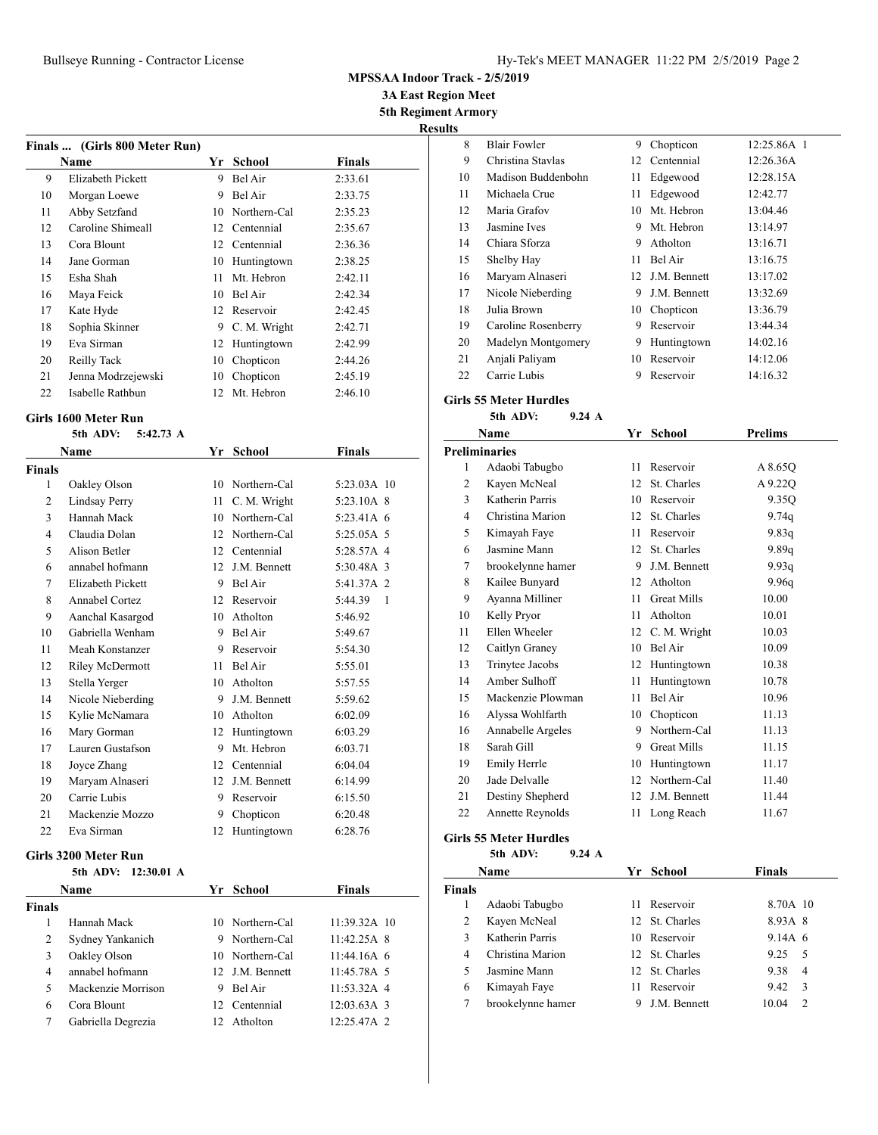**MPSSAA Indoor Track - 2/5/2019**

**3A East Region Meet**

**5th Regiment Armory Results**

|    | Finals  (Girls 800 Meter Run) |    |               |               |  |
|----|-------------------------------|----|---------------|---------------|--|
|    | Name                          | Yr | School        | <b>Finals</b> |  |
| 9  | Elizabeth Pickett             | 9  | Bel Air       | 2:33.61       |  |
| 10 | Morgan Loewe                  | 9  | Bel Air       | 2:33.75       |  |
| 11 | Abby Setzfand                 | 10 | Northern-Cal  | 2:35.23       |  |
| 12 | Caroline Shimeall             | 12 | Centennial    | 2:35.67       |  |
| 13 | Cora Blount                   |    | 12 Centennial | 2:36.36       |  |
| 14 | Jane Gorman                   | 10 | Huntingtown   | 2:38.25       |  |
| 15 | Esha Shah                     | 11 | Mt. Hebron    | 2:42.11       |  |
| 16 | Maya Feick                    | 10 | Bel Air       | 2:42.34       |  |
| 17 | Kate Hyde                     |    | 12 Reservoir  | 2:42.45       |  |
| 18 | Sophia Skinner                | 9  | C. M. Wright  | 2:42.71       |  |
| 19 | Eva Sirman                    | 12 | Huntingtown   | 2:42.99       |  |
| 20 | Reilly Tack                   | 10 | Chopticon     | 2:44.26       |  |
| 21 | Jenna Modrzejewski            | 10 | Chopticon     | 2:45.19       |  |
| 22 | Isabelle Rathbun              | 12 | Mt. Hebron    | 2:46.10       |  |

## **Girls 1600 Meter Run**

| 5th ADV:<br>$5:42.73 \; A$ |                   |    |              |               |
|----------------------------|-------------------|----|--------------|---------------|
|                            | Name              | Yr | School       | <b>Finals</b> |
| Finals                     |                   |    |              |               |
| 1                          | Oakley Olson      | 10 | Northern-Cal | 5:23.03A 10   |
| $\overline{c}$             | Lindsay Perry     | 11 | C. M. Wright | 5:23.10A 8    |
| 3                          | Hannah Mack       | 10 | Northern-Cal | 5:23.41A 6    |
| $\overline{4}$             | Claudia Dolan     | 12 | Northern-Cal | 5:25.05A 5    |
| 5                          | Alison Betler     | 12 | Centennial   | 5:28.57A 4    |
| 6                          | annabel hofmann   | 12 | J.M. Bennett | 5:30.48A 3    |
| 7                          | Elizabeth Pickett | 9  | Bel Air      | 5:41.37A 2    |
| 8                          | Annabel Cortez    | 12 | Reservoir    | 5:44.39<br>1  |
| 9                          | Aanchal Kasargod  | 10 | Atholton     | 5:46.92       |
| 10                         | Gabriella Wenham  | 9  | Bel Air      | 5:49.67       |
| 11                         | Meah Konstanzer   | 9  | Reservoir    | 5:54.30       |
| 12                         | Riley McDermott   | 11 | Bel Air      | 5:55.01       |
| 13                         | Stella Yerger     | 10 | Atholton     | 5:57.55       |
| 14                         | Nicole Nieberding | 9  | J.M. Bennett | 5:59.62       |
| 15                         | Kylie McNamara    | 10 | Atholton     | 6:02.09       |
| 16                         | Mary Gorman       | 12 | Huntingtown  | 6:03.29       |
| 17                         | Lauren Gustafson  | 9  | Mt. Hebron   | 6:03.71       |
| 18                         | Joyce Zhang       | 12 | Centennial   | 6:04.04       |
| 19                         | Maryam Alnaseri   | 12 | J.M. Bennett | 6:14.99       |
| 20                         | Carrie Lubis      | 9  | Reservoir    | 6:15.50       |
| 21                         | Mackenzie Mozzo   | 9  | Chopticon    | 6:20.48       |
| 22                         | Eva Sirman        | 12 | Huntingtown  | 6:28.76       |

#### **Girls 3200 Meter Run**

|  | 5th ADV: 12:30.01 A |  |
|--|---------------------|--|

| <b>Name</b>   |                    |   | Yr School       | <b>Finals</b> |
|---------------|--------------------|---|-----------------|---------------|
| <b>Finals</b> |                    |   |                 |               |
|               | Hannah Mack        |   | 10 Northern-Cal | 11:39.32A 10  |
| 2             | Sydney Yankanich   |   | 9 Northern-Cal  | 11:42.25A 8   |
| 3             | Oakley Olson       |   | 10 Northern-Cal | $11:44.16A$ 6 |
| 4             | annabel hofmann    |   | 12 J.M. Bennett | 11:45.78A 5   |
| 5             | Mackenzie Morrison | 9 | Bel Air         | 11:53.32A 4   |
| 6             | Cora Blount        |   | 12 Centennial   | $12:03.63A$ 3 |
| 7             | Gabriella Degrezia |   | 12 Atholton     | 12:25.47A 2   |
|               |                    |   |                 |               |

| 8  | <b>Blair Fowler</b> | 9  | Chopticon    | 12:25.86A 1 |
|----|---------------------|----|--------------|-------------|
| 9  | Christina Stavlas   | 12 | Centennial   | 12:26.36A   |
| 10 | Madison Buddenbohn  | 11 | Edgewood     | 12:28.15A   |
| 11 | Michaela Crue       | 11 | Edgewood     | 12:42.77    |
| 12 | Maria Grafov        | 10 | Mt. Hebron   | 13:04.46    |
| 13 | Jasmine Ives        | 9  | Mt. Hebron   | 13:14.97    |
| 14 | Chiara Sforza       | 9  | Atholton     | 13:16.71    |
| 15 | Shelby Hay          | 11 | Bel Air      | 13:16.75    |
| 16 | Maryam Alnaseri     | 12 | J.M. Bennett | 13:17.02    |
| 17 | Nicole Nieberding   | 9  | J.M. Bennett | 13:32.69    |
| 18 | Julia Brown         | 10 | Chopticon    | 13:36.79    |
| 19 | Caroline Rosenberry | 9  | Reservoir    | 13:44.34    |
| 20 | Madelyn Montgomery  | 9  | Huntingtown  | 14:02.16    |
| 21 | Anjali Paliyam      | 10 | Reservoir    | 14:12.06    |
| 22 | Carrie Lubis        | 9  | Reservoir    | 14:16.32    |

#### **Girls 55 Meter Hurdles**

#### **5th ADV: 9.24 A**

| Name           |                      | Yr               | School             | <b>Prelims</b> |  |
|----------------|----------------------|------------------|--------------------|----------------|--|
|                | <b>Preliminaries</b> |                  |                    |                |  |
| 1              | Adaobi Tabugbo       | 11               | Reservoir          | A 8.65Q        |  |
| $\overline{c}$ | Kayen McNeal         | 12               | St. Charles        | A 9.22Q        |  |
| 3              | Katherin Parris      | 10               | Reservoir          | 9.35Q          |  |
| $\overline{4}$ | Christina Marion     | 12               | St. Charles        | 9.74q          |  |
| 5              | Kimayah Faye         | 11               | Reservoir          | 9.83q          |  |
| 6              | Jasmine Mann         | 12 <sup>12</sup> | St. Charles        | 9.89q          |  |
| 7              | brookelynne hamer    | 9                | J.M. Bennett       | 9.93q          |  |
| 8              | Kailee Bunyard       | 12               | Atholton           | 9.96q          |  |
| 9              | Ayanna Milliner      | 11               | <b>Great Mills</b> | 10.00          |  |
| 10             | Kelly Pryor          | 11               | Atholton           | 10.01          |  |
| 11             | Ellen Wheeler        | 12               | C. M. Wright       | 10.03          |  |
| 12             | Caitlyn Graney       | 10               | Bel Air            | 10.09          |  |
| 13             | Trinytee Jacobs      | 12               | Huntingtown        | 10.38          |  |
| 14             | Amber Sulhoff        | 11               | Huntingtown        | 10.78          |  |
| 15             | Mackenzie Plowman    | 11               | Bel Air            | 10.96          |  |
| 16             | Alyssa Wohlfarth     | 10               | Chopticon          | 11.13          |  |
| 16             | Annabelle Argeles    | 9                | Northern-Cal       | 11.13          |  |
| 18             | Sarah Gill           | 9                | <b>Great Mills</b> | 11.15          |  |
| 19             | Emily Herrle         | 10               | Huntingtown        | 11.17          |  |
| 20             | Jade Delvalle        | 12               | Northern-Cal       | 11.40          |  |
| 21             | Destiny Shepherd     | 12               | J.M. Bennett       | 11.44          |  |
| 22             | Annette Reynolds     | 11               | Long Reach         | 11.67          |  |

# **Girls 55 Meter Hurdles**

**5th ADV: 9.24 A**

|        | Name              |   | Yr School      | <b>Finals</b> |               |
|--------|-------------------|---|----------------|---------------|---------------|
| Finals |                   |   |                |               |               |
|        | Adaobi Tabugbo    |   | Reservoir      | 8.70A 10      |               |
| 2      | Kayen McNeal      |   | 12 St. Charles | 8.93A 8       |               |
| 3      | Katherin Parris   |   | 10 Reservoir   | $9.14A \; 6$  |               |
| 4      | Christina Marion  |   | 12 St. Charles | 9.25          | - 5           |
| 5      | Jasmine Mann      |   | 12 St. Charles | 9.38          | 4             |
| 6      | Kimayah Faye      |   | Reservoir      | 9.42          | 3             |
|        | brookelynne hamer | 9 | J.M. Bennett   | 10.04         | $\mathcal{L}$ |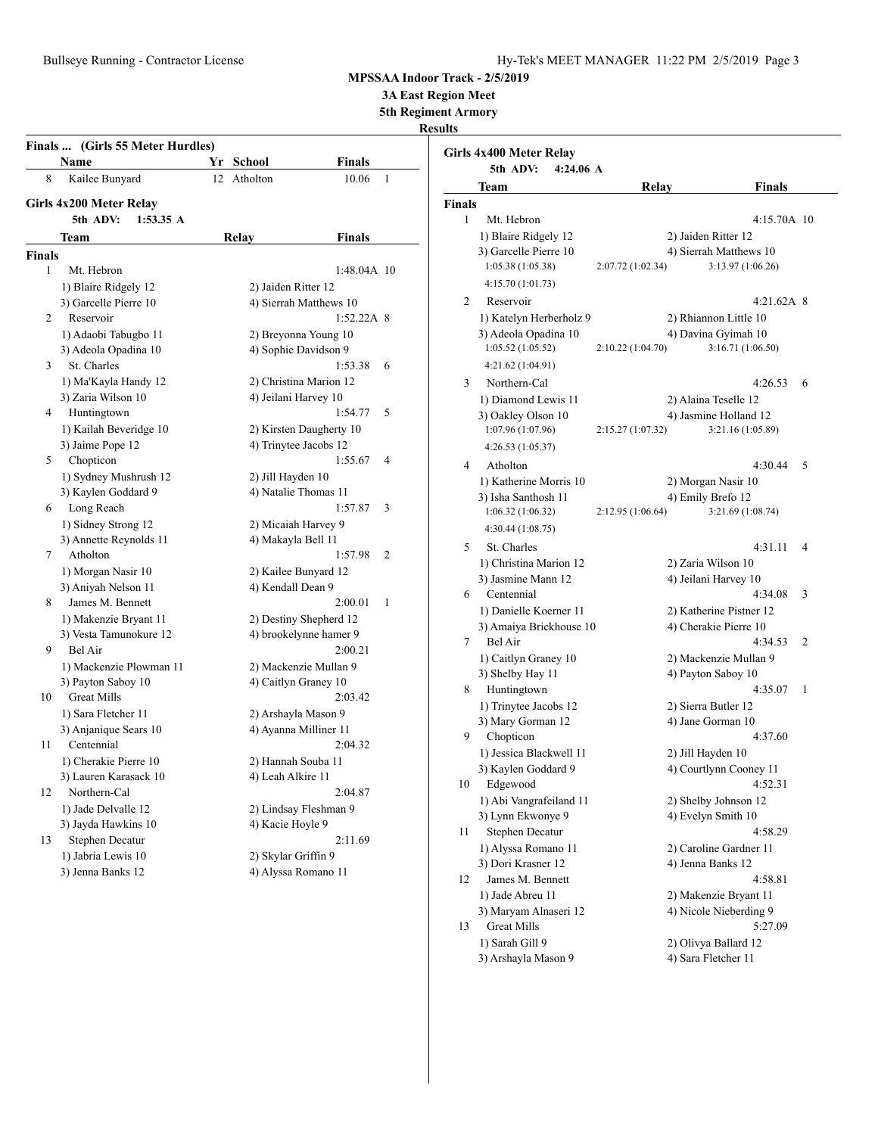**3A East Region Meet**

**5th Regiment Armory**

## **Results**

| Finals  (Girls 55 Meter Hurdles) |                                     |                         |                           |   |  |  |
|----------------------------------|-------------------------------------|-------------------------|---------------------------|---|--|--|
|                                  | Name                                | Yr<br><b>School</b>     | <b>Finals</b>             |   |  |  |
| 8                                | Kailee Bunyard                      | 12<br>Atholton          | $\mathbf{1}$<br>10.06     |   |  |  |
|                                  | Girls 4x200 Meter Relay             |                         |                           |   |  |  |
|                                  | 5th ADV:<br>1:53.35 A               |                         |                           |   |  |  |
|                                  | Team                                | Relay                   | Finals                    |   |  |  |
| <b>Finals</b>                    |                                     |                         |                           |   |  |  |
| 1                                | Mt. Hebron                          |                         | 1:48.04A 10               |   |  |  |
|                                  | 1) Blaire Ridgely 12                | 2) Jaiden Ritter 12     |                           |   |  |  |
|                                  | 3) Garcelle Pierre 10               | 4) Sierrah Matthews 10  |                           |   |  |  |
| 2                                | Reservoir                           |                         | $1:52.22A$ 8              |   |  |  |
|                                  | 1) Adaobi Tabugbo 11                | 2) Breyonna Young 10    |                           |   |  |  |
|                                  | 3) Adeola Opadina 10                | 4) Sophie Davidson 9    |                           |   |  |  |
| 3                                | St. Charles                         |                         | 1:53.38<br>6              |   |  |  |
|                                  | 1) Ma'Kayla Handy 12                | 2) Christina Marion 12  |                           |   |  |  |
|                                  | 3) Zaria Wilson 10                  | 4) Jeilani Harvey 10    |                           |   |  |  |
| 4                                | Huntingtown                         |                         | 5<br>1:54.77              |   |  |  |
|                                  | 1) Kailah Beveridge 10              | 2) Kirsten Daugherty 10 |                           |   |  |  |
|                                  | 3) Jaime Pope 12                    | 4) Trinytee Jacobs 12   |                           |   |  |  |
| 5                                | Chopticon                           |                         | 1:55.67<br>4              |   |  |  |
|                                  | 1) Sydney Mushrush 12               | 2) Jill Hayden 10       |                           |   |  |  |
|                                  | 3) Kaylen Goddard 9                 | 4) Natalie Thomas 11    |                           |   |  |  |
| 6                                | Long Reach                          |                         | 1:57.87                   | 3 |  |  |
|                                  | 1) Sidney Strong 12                 | 2) Micaiah Harvey 9     |                           |   |  |  |
|                                  | 3) Annette Reynolds 11              | 4) Makayla Bell 11      |                           |   |  |  |
| 7                                | Atholton                            |                         | $\overline{c}$<br>1:57.98 |   |  |  |
|                                  | 1) Morgan Nasir 10                  | 2) Kailee Bunyard 12    |                           |   |  |  |
|                                  | 3) Aniyah Nelson 11                 | 4) Kendall Dean 9       |                           |   |  |  |
| 8                                | James M. Bennett                    |                         | 2:00.01<br>1              |   |  |  |
|                                  | 1) Makenzie Bryant 11               | 2) Destiny Shepherd 12  |                           |   |  |  |
|                                  | 3) Vesta Tamunokure 12<br>Bel Air   | 4) brookelynne hamer 9  |                           |   |  |  |
| 9                                |                                     |                         | 2:00.21                   |   |  |  |
|                                  | 1) Mackenzie Plowman 11             | 2) Mackenzie Mullan 9   |                           |   |  |  |
| 10                               | 3) Payton Saboy 10<br>Great Mills   | 4) Caitlyn Graney 10    | 2:03.42                   |   |  |  |
|                                  |                                     |                         |                           |   |  |  |
|                                  | 1) Sara Fletcher 11                 | 2) Arshayla Mason 9     |                           |   |  |  |
| 11                               | 3) Anjanique Sears 10<br>Centennial | 4) Ayanna Milliner 11   | 2:04.32                   |   |  |  |
|                                  | 1) Cherakie Pierre 10               | 2) Hannah Souba 11      |                           |   |  |  |
|                                  | 3) Lauren Karasack 10               | 4) Leah Alkire 11       |                           |   |  |  |
| 12                               | Northern-Cal                        |                         | 2:04.87                   |   |  |  |
|                                  | 1) Jade Delvalle 12                 | 2) Lindsay Fleshman 9   |                           |   |  |  |
|                                  | 3) Jayda Hawkins 10                 | 4) Kacie Hoyle 9        |                           |   |  |  |
| 13                               | Stephen Decatur                     |                         | 2:11.69                   |   |  |  |
|                                  | 1) Jabria Lewis 10                  | 2) Skylar Griffin 9     |                           |   |  |  |
|                                  | 3) Jenna Banks 12                   | 4) Alyssa Romano 11     |                           |   |  |  |
|                                  |                                     |                         |                           |   |  |  |

|               | Girls 4x400 Meter Relay<br>5th ADV:<br>4:24.06A |                                               |   |
|---------------|-------------------------------------------------|-----------------------------------------------|---|
|               | Team                                            | Relay<br>Finals                               |   |
| <b>Finals</b> |                                                 |                                               |   |
| 1             | Mt. Hebron                                      | 4:15.70A 10                                   |   |
|               | 1) Blaire Ridgely 12                            | 2) Jaiden Ritter 12                           |   |
|               | 3) Garcelle Pierre 10                           | 4) Sierrah Matthews 10                        |   |
|               | 1:05.38 (1:05.38)                               | 3:13.97 (1:06.26)<br>2:07.72 (1:02.34)        |   |
|               | 4:15.70 (1:01.73)                               |                                               |   |
| 2             | Reservoir                                       | $4:21.62A$ 8                                  |   |
|               | 1) Katelyn Herberholz 9                         | 2) Rhiannon Little 10                         |   |
|               | 3) Adeola Opadina 10                            | 4) Davina Gyimah 10                           |   |
|               | 1:05.52(1:05.52)                                | 3:16.71 (1:06.50)<br>2:10.22(1:04.70)         |   |
|               | 4:21.62 (1:04.91)                               |                                               |   |
| 3             | Northern-Cal                                    | 4:26.53                                       | 6 |
|               |                                                 |                                               |   |
|               | 1) Diamond Lewis 11<br>3) Oakley Olson 10       | 2) Alaina Teselle 12<br>4) Jasmine Holland 12 |   |
|               | 1:07.96 (1:07.96)                               | 3:21.16 (1:05.89)<br>2:15.27 (1:07.32)        |   |
|               |                                                 |                                               |   |
|               | 4:26.53 (1:05.37)                               |                                               |   |
| 4             | Atholton                                        | 4:30.44                                       | 5 |
|               | 1) Katherine Morris 10                          | 2) Morgan Nasir 10                            |   |
|               | 3) Isha Santhosh 11                             | 4) Emily Brefo 12                             |   |
|               | 1:06.32(1:06.32)                                | 3:21.69 (1:08.74)<br>2:12.95 (1:06.64)        |   |
|               | 4:30.44 (1:08.75)                               |                                               |   |
| 5             | St. Charles                                     | 4:31.11                                       | 4 |
|               | 1) Christina Marion 12                          | 2) Zaria Wilson 10                            |   |
|               | 3) Jasmine Mann 12                              | 4) Jeilani Harvey 10                          |   |
| 6             | Centennial                                      | 4:34.08                                       | 3 |
|               | 1) Danielle Koerner 11                          | 2) Katherine Pistner 12                       |   |
|               | 3) Amaiya Brickhouse 10                         | 4) Cherakie Pierre 10                         |   |
| 7             | Bel Air                                         | 4:34.53                                       | 2 |
|               | 1) Caitlyn Graney 10                            | 2) Mackenzie Mullan 9                         |   |
|               | 3) Shelby Hay 11                                | 4) Payton Saboy 10                            |   |
| 8             | Huntingtown                                     | 4:35.07                                       | 1 |
|               | 1) Trinytee Jacobs 12                           | 2) Sierra Butler 12                           |   |
|               | 3) Mary Gorman 12                               | 4) Jane Gorman 10                             |   |
| 9             | Chopticon                                       | 4:37.60                                       |   |
|               | 1) Jessica Blackwell 11                         | 2) Jill Hayden 10                             |   |
|               | 3) Kaylen Goddard 9                             | 4) Courtlynn Cooney 11                        |   |
| 10            | Edgewood                                        | 4:52.31                                       |   |
|               | 1) Abi Vangrafeiland 11                         | 2) Shelby Johnson 12                          |   |
|               | 3) Lynn Ekwonye 9                               | 4) Evelyn Smith 10                            |   |
| 11            | Stephen Decatur                                 | 4:58.29                                       |   |
|               | 1) Alyssa Romano 11                             | 2) Caroline Gardner 11                        |   |
|               | 3) Dori Krasner 12                              | 4) Jenna Banks 12                             |   |
| 12            | James M. Bennett                                | 4:58.81                                       |   |
|               | 1) Jade Abreu 11                                | 2) Makenzie Bryant 11                         |   |
|               | 3) Maryam Alnaseri 12                           | 4) Nicole Nieberding 9                        |   |
| 13            | <b>Great Mills</b>                              | 5:27.09                                       |   |
|               | 1) Sarah Gill 9                                 | 2) Olivya Ballard 12                          |   |
|               | 3) Arshayla Mason 9                             | 4) Sara Fletcher 11                           |   |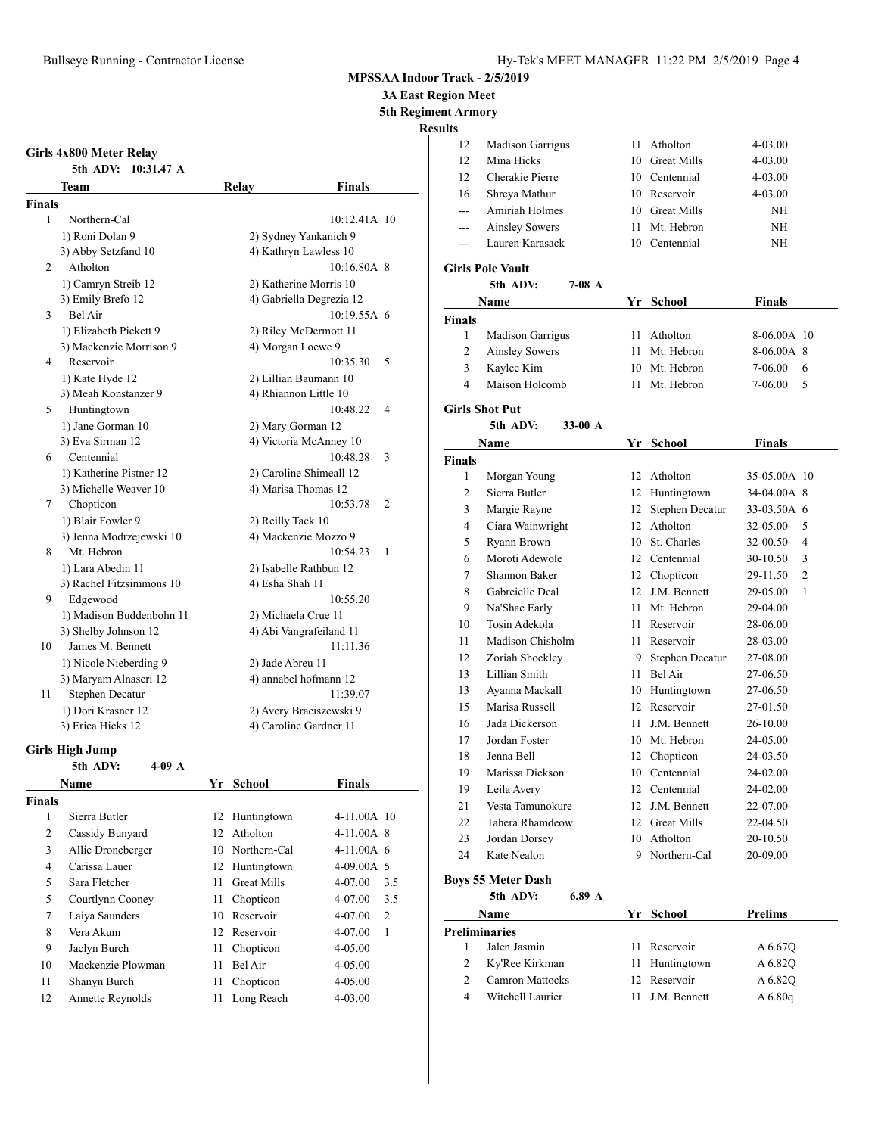**3A East Region Meet**

**5th Regiment Armory**

**Results**

| Girls 4x800 Meter Relay |                          |       |                          |                |
|-------------------------|--------------------------|-------|--------------------------|----------------|
| 5th ADV:<br>Team        | $10:31.47$ A             | Relay | Finals                   |                |
| Finals                  |                          |       |                          |                |
| 1<br>Northern-Cal       |                          |       | 10:12.41A 10             |                |
| 1) Roni Dolan 9         |                          |       | 2) Sydney Yankanich 9    |                |
| 3) Abby Setzfand 10     |                          |       | 4) Kathryn Lawless 10    |                |
| Atholton<br>2           |                          |       | 10:16.80A 8              |                |
| 1) Camryn Streib 12     |                          |       | 2) Katherine Morris 10   |                |
| 3) Emily Brefo 12       |                          |       | 4) Gabriella Degrezia 12 |                |
| Bel Air<br>3            |                          |       | $10:19.55A$ 6            |                |
|                         | 1) Elizabeth Pickett 9   |       | 2) Riley McDermott 11    |                |
|                         | 3) Mackenzie Morrison 9  |       | 4) Morgan Loewe 9        |                |
| Reservoir<br>4          |                          |       | 10:35.30                 | 5              |
| 1) Kate Hyde 12         |                          |       | 2) Lillian Baumann 10    |                |
|                         | 3) Meah Konstanzer 9     |       | 4) Rhiannon Little 10    |                |
| 5<br>Huntingtown        |                          |       | 10:48.22                 | $\overline{4}$ |
| 1) Jane Gorman 10       |                          |       | 2) Mary Gorman 12        |                |
| 3) Eva Sirman 12        |                          |       | 4) Victoria McAnney 10   |                |
| 6<br>Centennial         |                          |       | 10:48.28                 | 3              |
|                         | 1) Katherine Pistner 12  |       | 2) Caroline Shimeall 12  |                |
|                         | 3) Michelle Weaver 10    |       | 4) Marisa Thomas 12      |                |
| Chopticon<br>7          |                          |       | 10:53.78                 | $\overline{2}$ |
| 1) Blair Fowler 9       |                          |       | 2) Reilly Tack 10        |                |
|                         | 3) Jenna Modrzejewski 10 |       | 4) Mackenzie Mozzo 9     |                |
| Mt. Hebron<br>8         |                          |       | 10:54.23                 | 1              |
| 1) Lara Abedin 11       |                          |       | 2) Isabelle Rathbun 12   |                |
|                         | 3) Rachel Fitzsimmons 10 |       | 4) Esha Shah 11          |                |
| 9<br>Edgewood           |                          |       | 10:55.20                 |                |
|                         | 1) Madison Buddenbohn 11 |       | 2) Michaela Crue 11      |                |
| 3) Shelby Johnson 12    |                          |       | 4) Abi Vangrafeiland 11  |                |
| James M. Bennett<br>10  |                          |       | 11:11.36                 |                |
|                         | 1) Nicole Nieberding 9   |       | 2) Jade Abreu 11         |                |
|                         | 3) Maryam Alnaseri 12    |       | 4) annabel hofmann 12    |                |
| Stephen Decatur<br>11   |                          |       | 11:39.07                 |                |
| 1) Dori Krasner 12      |                          |       | 2) Avery Braciszewski 9  |                |
| 3) Erica Hicks 12       |                          |       | 4) Caroline Gardner 11   |                |

### **Girls High Jump**

|               | 5th ADV:<br>$4-09$ A |    |                    |                |
|---------------|----------------------|----|--------------------|----------------|
|               | Name                 | Yr | School             | <b>Finals</b>  |
| <b>Finals</b> |                      |    |                    |                |
| 1             | Sierra Butler        | 12 | Huntingtown        | $4-11.00A$ 10  |
| 2             | Cassidy Bunyard      | 12 | Atholton           | $4-11.00A$ 8   |
| 3             | Allie Droneberger    |    | 10 Northern-Cal    | $4-11.00A$ 6   |
| 4             | Carissa Lauer        | 12 | Huntingtown        | $4-09.00A$ 5   |
| 5             | Sara Fletcher        | 11 | <b>Great Mills</b> | 4-07.00<br>3.5 |
| 5             | Courtlynn Cooney     | 11 | Chopticon          | 4-07.00<br>3.5 |
| 7             | Laiya Saunders       | 10 | Reservoir          | 2<br>4-07.00   |
| 8             | Vera Akum            | 12 | Reservoir          | 4-07.00<br>1   |
| 9             | Jaclyn Burch         | 11 | Chopticon          | $4 - 05.00$    |
| 10            | Mackenzie Plowman    | 11 | Bel Air            | $4 - 05.00$    |
| 11            | Shanyn Burch         | 11 | Chopticon          | 4-05.00        |
| 12            | Annette Reynolds     | 11 | Long Reach         | 4-03.00        |
|               |                      |    |                    |                |

| 12             | <b>Madison Garrigus</b> | 11              | Atholton           | 4-03.00                    |
|----------------|-------------------------|-----------------|--------------------|----------------------------|
| 12             | Mina Hicks              | 10              | <b>Great Mills</b> | 4-03.00                    |
| 12             | Cherakie Pierre         |                 | 10 Centennial      | 4-03.00                    |
| 16             | Shreya Mathur           |                 | 10 Reservoir       | 4-03.00                    |
| ---            | <b>Amiriah Holmes</b>   | 10              | <b>Great Mills</b> | NΗ                         |
| $\overline{a}$ | <b>Ainsley Sowers</b>   | 11              | Mt. Hebron         | NH                         |
| $---$          | Lauren Karasack         |                 | 10 Centennial      | ΝH                         |
|                | <b>Girls Pole Vault</b> |                 |                    |                            |
|                | 5th ADV:<br>7-08 A      |                 |                    |                            |
|                | Name                    |                 | Yr School          | <b>Finals</b>              |
| <b>Finals</b>  |                         |                 |                    |                            |
| 1              | <b>Madison Garrigus</b> | 11              | Atholton           | 8-06.00A 10                |
| 2              | <b>Ainsley Sowers</b>   | 11              | Mt. Hebron         | 8-06.00A 8                 |
| 3              | Kaylee Kim              |                 | 10 Mt. Hebron      | 6<br>7-06.00               |
| $\overline{4}$ | Maison Holcomb          | 11              | Mt. Hebron         | 7-06.00<br>5               |
|                | <b>Girls Shot Put</b>   |                 |                    |                            |
|                | 5th ADV:<br>33-00 $A$   |                 |                    |                            |
|                | Name                    |                 | Yr School          | <b>Finals</b>              |
| <b>Finals</b>  |                         |                 |                    |                            |
| 1              | Morgan Young            |                 | 12 Atholton        | 35-05.00A 10               |
| 2              | Sierra Butler           |                 | 12 Huntingtown     | 34-04.00A 8                |
| 3              | Margie Rayne            | 12              | Stephen Decatur    | 33-03.50A 6                |
| 4              | Ciara Wainwright        | 12              | Atholton           | 32-05.00<br>5              |
| 5              | Ryann Brown             |                 | 10 St. Charles     | 4<br>32-00.50              |
| 6              | Moroti Adewole          | 12 <sup>2</sup> | Centennial         | 3<br>$30-10.50$            |
| 7              | Shannon Baker           | 12              | Chopticon          | 29-11.50<br>$\overline{2}$ |
| 8              | Gabreielle Deal         | $12-12$         | J.M. Bennett       | 29-05.00<br>1              |
| 9              | Na'Shae Early           | 11              | Mt. Hebron         | 29-04.00                   |
| 10             | Tosin Adekola           | 11              | Reservoir          | 28-06.00                   |
| 11             | Madison Chisholm        | 11              | Reservoir          | 28-03.00                   |
| 12             | Zoriah Shockley         | 9               | Stephen Decatur    | 27-08.00                   |
| 13             | Lillian Smith           | 11              | Bel Air            | 27-06.50                   |
| 13             | Ayanna Mackall          | 10              | Huntingtown        | 27-06.50                   |
| 15             | Marisa Russell          |                 | 12 Reservoir       | 27-01.50                   |
| 16             | Jada Dickerson          | 11              | J.M. Bennett       | 26-10.00                   |
| 17             | Jordan Foster           |                 | 10 Mt. Hebron      | 24-05.00                   |
| 18             | Jenna Bell              |                 | 12 Chopticon       | 24-03.50                   |
| 19             | Marissa Dickson         |                 | 10 Centennial      | 24-02.00                   |
| 19             | Leila Avery             | 12              | Centennial         | 24-02.00                   |
| 21             | Vesta Tamunokure        | 12              | J.M. Bennett       | 22-07.00                   |
| 22             | Tahera Rhamdeow         |                 | 12 Great Mills     | 22-04.50                   |
| 23             | Jordan Dorsey           | 10              | Atholton           | 20-10.50                   |
| 24             | Kate Nealon             | 9               | Northern-Cal       | 20-09.00                   |

## **Boys 55 Meter Dash**

**5th ADV: 6.89 A Name Yr School Prelims Preliminaries** 1 Jalen Jasmin 11 Reservoir A 6.67Q 2 Ky'Ree Kirkman 11 Huntingtown A 6.82Q 2 Camron Mattocks 12 Reservoir A 6.82Q 4 Witchell Laurier 11 J.M. Bennett A 6.80q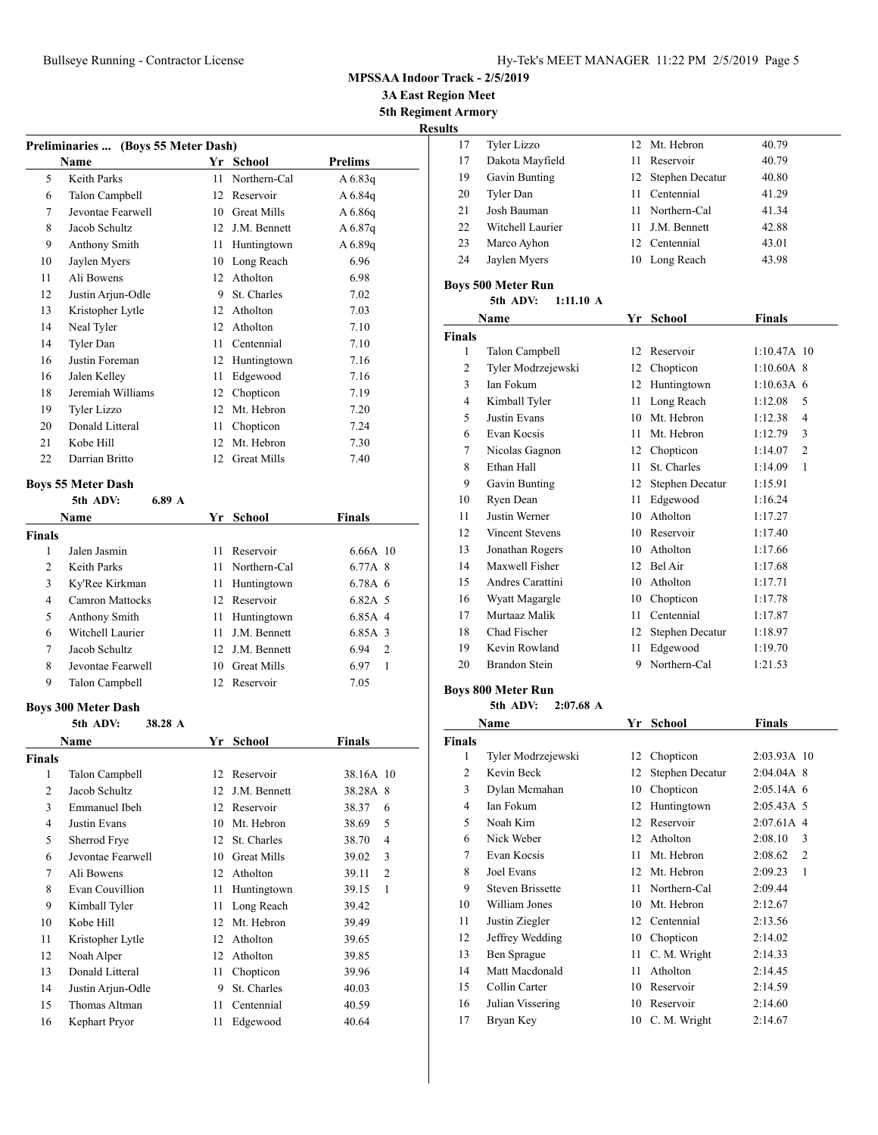**3A East Region Meet**

**5th Regiment Armory Results**

|                | Preliminaries  (Boys 55 Meter Dash)<br><b>Name</b> |    | Yr School       | <b>Prelims</b>          |
|----------------|----------------------------------------------------|----|-----------------|-------------------------|
| 5              | Keith Parks                                        | 11 | Northern-Cal    | $A\,6.83q$              |
| 6              | Talon Campbell                                     |    | 12 Reservoir    | $A\,6.84q$              |
| 7              | Jevontae Fearwell                                  |    | 10 Great Mills  | $A\,6.86q$              |
| 8              | Jacob Schultz                                      |    | 12 J.M. Bennett | $A\,6.87q$              |
| 9              | Anthony Smith                                      |    | 11 Huntingtown  | $A\,6.89q$              |
| 10             | Jaylen Myers                                       |    | 10 Long Reach   | 6.96                    |
| 11             | Ali Bowens                                         |    | 12 Atholton     | 6.98                    |
| 12             | Justin Arjun-Odle                                  |    | 9 St. Charles   | 7.02                    |
| 13             | Kristopher Lytle                                   |    | 12 Atholton     | 7.03                    |
| 14             | Neal Tyler                                         |    | 12 Atholton     | 7.10                    |
| 14             | Tyler Dan                                          |    | 11 Centennial   | 7.10                    |
| 16             | Justin Foreman                                     |    | 12 Huntingtown  | 7.16                    |
| 16             | Jalen Kelley                                       |    | 11 Edgewood     | 7.16                    |
| 18             | Jeremiah Williams                                  |    | 12 Chopticon    | 7.19                    |
| 19             | <b>Tyler Lizzo</b>                                 |    | 12 Mt. Hebron   | 7.20                    |
| 20             | Donald Litteral                                    |    | 11 Chopticon    | 7.24                    |
| 21             | Kobe Hill                                          |    | 12 Mt. Hebron   | 7.30                    |
| 22             | Darrian Britto                                     |    | 12 Great Mills  | 7.40                    |
|                |                                                    |    |                 |                         |
|                | <b>Boys 55 Meter Dash</b>                          |    |                 |                         |
|                | 5th ADV:<br>6.89 A                                 |    |                 |                         |
|                | Name                                               |    | Yr School       | Finals                  |
| Finals         |                                                    |    |                 |                         |
| 1              | Jalen Jasmin                                       | 11 | Reservoir       | 6.66A 10                |
| 2              | Keith Parks                                        |    | 11 Northern-Cal | 6.77A 8                 |
| 3              | Ky'Ree Kirkman                                     |    | 11 Huntingtown  | 6.78A 6                 |
| 4              | <b>Camron Mattocks</b>                             |    | 12 Reservoir    | 6.82A 5                 |
| 5              | Anthony Smith                                      |    | 11 Huntingtown  | 6.85A 4                 |
| 6              | Witchell Laurier                                   |    | 11 J.M. Bennett | 6.85A 3                 |
| 7              | Jacob Schultz                                      |    | 12 J.M. Bennett | 6.94<br>$\overline{c}$  |
| 8              | Jevontae Fearwell                                  |    | 10 Great Mills  | 6.97<br>$\mathbf{1}$    |
| 9              | Talon Campbell                                     |    | 12 Reservoir    | 7.05                    |
|                |                                                    |    |                 |                         |
|                | <b>Boys 300 Meter Dash</b><br>5th ADV:<br>38.28 A  |    |                 |                         |
|                | Name                                               |    | Yr School       | Finals                  |
| Finals         |                                                    |    |                 |                         |
| $\mathbf{1}$   | Talon Campbell                                     | 12 | Reservoir       | 38.16A 10               |
| $\mathbf{2}$   | Jacob Schultz                                      | 12 | J.M. Bennett    | 38.28A 8                |
| 3              | <b>Emmanuel Ibeh</b>                               | 12 | Reservoir       | 38.37<br>6              |
| $\overline{4}$ | Justin Evans                                       | 10 | Mt. Hebron      | 5                       |
|                |                                                    |    | St. Charles     | 38.69                   |
| 5              | Sherrod Frye                                       | 12 |                 | 4<br>38.70              |
| 6              | Jevontae Fearwell                                  |    | 10 Great Mills  | 3<br>39.02              |
| 7              | Ali Bowens                                         | 12 | Atholton        | $\overline{c}$<br>39.11 |
| 8              | Evan Couvillion                                    | 11 | Huntingtown     | $\mathbf{1}$<br>39.15   |
| 9              | Kimball Tyler                                      | 11 | Long Reach      | 39.42                   |
| 10             | Kobe Hill                                          |    | 12 Mt. Hebron   | 39.49                   |
| 11             | Kristopher Lytle                                   |    | 12 Atholton     | 39.65                   |
| 12             | Noah Alper                                         | 12 | Atholton        | 39.85                   |
| 13             | Donald Litteral                                    | 11 | Chopticon       | 39.96                   |
| 14             | Justin Arjun-Odle                                  | 9  | St. Charles     | 40.03                   |
| 15             | Thomas Altman                                      | 11 | Centennial      | 40.59                   |
| 16             | Kephart Pryor                                      | 11 | Edgewood        | 40.64                   |

| .  |                  |     |                    |       |
|----|------------------|-----|--------------------|-------|
| 17 | Tyler Lizzo      |     | 12 Mt. Hebron      | 40.79 |
| 17 | Dakota Mayfield  | 11. | Reservoir          | 40.79 |
| 19 | Gavin Bunting    |     | 12 Stephen Decatur | 40.80 |
| 20 | Tyler Dan        | 11. | Centennial         | 41.29 |
| 21 | Josh Bauman      | 11. | Northern-Cal       | 41.34 |
| 22 | Witchell Laurier |     | 11 J.M. Bennett    | 42.88 |
| 23 | Marco Ayhon      |     | 12 Centennial      | 43.01 |
| 24 | Jaylen Myers     | 10  | Long Reach         | 43.98 |
|    |                  |     |                    |       |

## **Boys 500 Meter Run**

## **5th ADV: 1:11.10 A**

|                | Name                   | Yr | <b>School</b>   | <b>Finals</b>           |
|----------------|------------------------|----|-----------------|-------------------------|
| <b>Finals</b>  |                        |    |                 |                         |
| 1              | Talon Campbell         | 12 | Reservoir       | $1:10.47A$ 10           |
| $\overline{2}$ | Tyler Modrzejewski     | 12 | Chopticon       | $1:10.60A$ 8            |
| 3              | Ian Fokum              | 12 | Huntingtown     | $1:10.63A$ 6            |
| 4              | Kimball Tyler          | 11 | Long Reach      | 1:12.08<br>5            |
| 5              | Justin Evans           | 10 | Mt. Hebron      | 1:12.38<br>4            |
| 6              | Evan Kocsis            | 11 | Mt. Hebron      | 3<br>1:12.79            |
| 7              | Nicolas Gagnon         | 12 | Chopticon       | 1:14.07<br>2            |
| 8              | Ethan Hall             | 11 | St. Charles     | $\mathbf{1}$<br>1:14.09 |
| 9              | Gavin Bunting          | 12 | Stephen Decatur | 1:15.91                 |
| 10             | Ryen Dean              | 11 | Edgewood        | 1:16.24                 |
| 11             | <b>Justin Werner</b>   | 10 | Atholton        | 1:17.27                 |
| 12             | <b>Vincent Stevens</b> | 10 | Reservoir       | 1:17.40                 |
| 13             | Jonathan Rogers        | 10 | Atholton        | 1:17.66                 |
| 14             | Maxwell Fisher         | 12 | Bel Air         | 1:17.68                 |
| 15             | Andres Carattini       | 10 | Atholton        | 1:17.71                 |
| 16             | Wyatt Magargle         | 10 | Chopticon       | 1:17.78                 |
| 17             | Murtaaz Malik          | 11 | Centennial      | 1:17.87                 |
| 18             | Chad Fischer           | 12 | Stephen Decatur | 1:18.97                 |
| 19             | Kevin Rowland          | 11 | Edgewood        | 1:19.70                 |
| 20             | Brandon Stein          | 9  | Northern-Cal    | 1:21.53                 |
|                |                        |    |                 |                         |

## **Boys 800 Meter Run**

### **5th ADV: 2:07.68 A**

|               | Name                    | Yr | <b>School</b>   | Finals                    |
|---------------|-------------------------|----|-----------------|---------------------------|
| <b>Finals</b> |                         |    |                 |                           |
| 1             | Tyler Modrzejewski      | 12 | Chopticon       | 2:03.93A 10               |
| 2             | Kevin Beck              | 12 | Stephen Decatur | $2:04.04A$ 8              |
| 3             | Dylan Mcmahan           | 10 | Chopticon       | $2:05.14A$ 6              |
| 4             | Ian Fokum               | 12 | Huntingtown     | $2:05.43A$ 5              |
| 5             | Noah Kim                | 12 | Reservoir       | $2:07.61A$ 4              |
| 6             | Nick Weber              | 12 | Atholton        | 2:08.10<br>3              |
| 7             | Evan Kocsis             | 11 | Mt. Hebron      | 2:08.62<br>$\overline{c}$ |
| 8             | Joel Evans              | 12 | Mt. Hebron      | 2:09.23<br>1              |
| 9             | <b>Steven Brissette</b> | 11 | Northern-Cal    | 2:09.44                   |
| 10            | William Jones           | 10 | Mt. Hebron      | 2:12.67                   |
| 11            | Justin Ziegler          | 12 | Centennial      | 2:13.56                   |
| 12            | Jeffrey Wedding         | 10 | Chopticon       | 2:14.02                   |
| 13            | Ben Sprague             | 11 | C. M. Wright    | 2:14.33                   |
| 14            | Matt Macdonald          | 11 | Atholton        | 2:14.45                   |
| 15            | Collin Carter           | 10 | Reservoir       | 2:14.59                   |
| 16            | Julian Vissering        | 10 | Reservoir       | 2:14.60                   |
| 17            | Bryan Key               | 10 | C. M. Wright    | 2:14.67                   |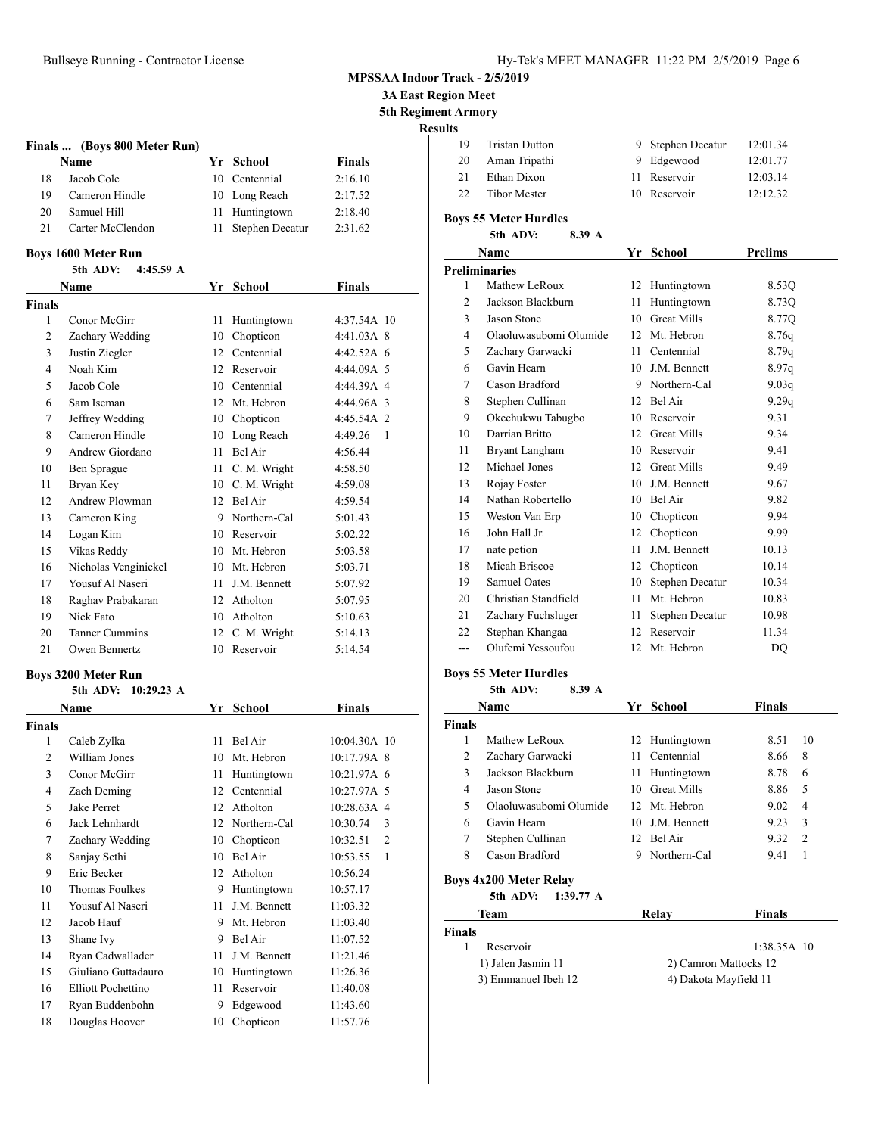**Name Yr School Finals** 18 Jacob Cole 10 Centennial 2:16.10 19 Cameron Hindle 10 Long Reach 2:17.52 20 Samuel Hill 11 Huntingtown 2:18.40 21 Carter McClendon 11 Stephen Decatur 2:31.62

**Name Yr School Finals**

 Conor McGirr 11 Huntingtown 4:37.54A 10 Zachary Wedding 10 Chopticon 4:41.03A 8 Justin Ziegler 12 Centennial 4:42.52A 6 Noah Kim 12 Reservoir 4:44.09A 5

**Finals ... (Boys 800 Meter Run)**

**5th ADV: 4:45.59 A**

**Boys 1600 Meter Run**

**Finals**

| <b>MPSSAA Indoor Track - 2/5/2019</b> |  |  |
|---------------------------------------|--|--|
|---------------------------------------|--|--|

**3A East Region Meet**

**5th Regiment Armory**

| 19 | <b>Tristan Dutton</b> | 9 Stephen Decatur | 12:01.34 |
|----|-----------------------|-------------------|----------|
| 20 | Aman Tripathi         | 9 Edgewood        | 12:01.77 |
| 21 | Ethan Dixon           | 11 Reservoir      | 12:03.14 |
| 22 | Tibor Mester          | 10 Reservoir      | 12:12.32 |
|    |                       |                   |          |

#### **Boys 55 Meter Hurdles 5th ADV: 8.39 A**

## **Name Yr School Prelims Preliminaries** 1 Mathew LeRoux 12 Huntingtown 8.53Q 2 Jackson Blackburn 11 Huntingtown 8.73Q 3 Jason Stone 10 Great Mills 8.77Q 4 Olaoluwasubomi Olumide 12 Mt. Hebron 8.76q 5 Zachary Garwacki 11 Centennial 8.79q 6 Gavin Hearn 10 J.M. Bennett 8.97q 7 Cason Bradford 9 Northern-Cal 9.03q 8 Stephen Cullinan 12 Bel Air 9.29q 9 Okechukwu Tabugbo 10 Reservoir 9.31 10 Darrian Britto 12 Great Mills 9.34 11 Bryant Langham 10 Reservoir 9.41 12 Michael Jones 12 Great Mills 9.49 13 Rojay Foster 10 J.M. Bennett 9.67 14 Nathan Robertello 10 Bel Air 9.82 15 Weston Van Erp 10 Chopticon 9.94 16 John Hall Jr. 12 Chopticon 9.99 17 nate petion 11 J.M. Bennett 10.13 18 Micah Briscoe 12 Chopticon 10.14 19 Samuel Oates 10 Stephen Decatur 10.34 20 Christian Standfield 11 Mt. Hebron 10.83 21 Zachary Fuchsluger 11 Stephen Decatur 10.98 22 Stephan Khangaa 12 Reservoir 11.34 --- Olufemi Yessoufou 12 Mt. Hebron DQ

#### **Boys 55 Meter Hurdles**

**5th ADV: 8.39 A**

| <b>Name</b>            |                            | School       | <b>Finals</b>                                                                                              |               |
|------------------------|----------------------------|--------------|------------------------------------------------------------------------------------------------------------|---------------|
|                        |                            |              |                                                                                                            |               |
| Mathew LeRoux          |                            |              | 8.51                                                                                                       | 10            |
| Zachary Garwacki       |                            |              | 8.66                                                                                                       | 8             |
| Jackson Blackburn      | 11.                        | Huntingtown  | 8.78                                                                                                       | 6             |
| Jason Stone            |                            |              | 8.86                                                                                                       | 5             |
| Olaoluwasubomi Olumide |                            |              | 9.02                                                                                                       | 4             |
| Gavin Hearn            |                            |              | 9.23                                                                                                       | 3             |
| Stephen Cullinan       |                            |              | 9.32                                                                                                       | $\mathcal{D}$ |
| Cason Bradford         | 9                          | Northern-Cal | 9.41                                                                                                       | 1             |
| Boys 4x200 Meter Relay |                            |              |                                                                                                            |               |
|                        | $1:39.77 \; A$<br>5th ADV: |              | Yr.<br>12 Huntingtown<br>11 Centennial<br>10 Great Mills<br>12 Mt. Hebron<br>10 J.M. Bennett<br>12 Bel Air |               |

| Team                | Relav | <b>Finals</b>         |  |
|---------------------|-------|-----------------------|--|
| <b>Finals</b>       |       |                       |  |
| Reservoir           |       | $1:38.35A$ 10         |  |
| 1) Jalen Jasmin 11  |       | 2) Camron Mattocks 12 |  |
| 3) Emmanuel Ibeh 12 |       | 4) Dakota Mayfield 11 |  |

| 5              | Jacob Cole                    | 10              | Centennial                      | 4:44.39A 4                 |
|----------------|-------------------------------|-----------------|---------------------------------|----------------------------|
| 6              | Sam Iseman                    | 12              | Mt. Hebron                      | 4:44.96A 3                 |
| 7              | Jeffrey Wedding               | 10              | Chopticon                       | 4:45.54A 2                 |
| 8              | Cameron Hindle                | 10              | Long Reach                      | 4:49.26<br>$\overline{1}$  |
| 9              | Andrew Giordano               | 11              | Bel Air                         | 4:56.44                    |
| 10             | Ben Sprague                   | 11              | C. M. Wright                    | 4:58.50                    |
| 11             | Bryan Key                     | 10              | C. M. Wright                    | 4:59.08                    |
| 12             | Andrew Plowman                | 12              | Bel Air                         | 4:59.54                    |
| 13             | Cameron King                  | 9               | Northern-Cal                    | 5:01.43                    |
| 14             | Logan Kim                     | 10              | Reservoir                       | 5:02.22                    |
| 15             | Vikas Reddy                   |                 | 10 Mt. Hebron                   | 5:03.58                    |
| 16             | Nicholas Venginickel          |                 | 10 Mt. Hebron                   | 5:03.71                    |
| 17             | Yousuf Al Naseri              | 11              | J.M. Bennett                    | 5:07.92                    |
| 18             | Raghav Prabakaran             | 12              | Atholton                        | 5:07.95                    |
| 19             | Nick Fato                     | 10 <sup>1</sup> | Atholton                        | 5:10.63                    |
| 20             | <b>Tanner Cummins</b>         |                 | 12 C. M. Wright                 | 5:14.13                    |
| 21             | Owen Bennertz                 | 10              | Reservoir                       | 5:14.54                    |
|                | <b>Boys 3200 Meter Run</b>    |                 |                                 |                            |
|                | 5th ADV: 10:29.23 A           |                 |                                 |                            |
|                | <b>Name</b>                   |                 | Yr School                       | <b>Finals</b>              |
| <b>Finals</b>  |                               |                 |                                 |                            |
| $\mathbf{1}$   | Caleb Zylka                   | 11              | Bel Air                         | 10:04.30A 10               |
| $\overline{2}$ | William Jones                 | 10              | Mt. Hebron                      | 10:17.79A 8                |
| 3              | Conor McGirr                  | 11              | Huntingtown                     | 10:21.97A 6                |
| $\overline{4}$ | Zach Deming                   | 12              | Centennial                      | 10:27.97A 5                |
| 5              | Jake Perret                   | 12 <sup>2</sup> | Atholton                        | 10:28.63A 4                |
| 6              | Jack Lehnhardt                | 12              | Northern-Cal                    | 10:30.74<br>3              |
| 7              | Zachary Wedding               | 10              | Chopticon                       | 10:32.51<br>$\overline{2}$ |
| $\circ$        | $C_{\text{onioy}} C_{\alpha}$ |                 | $10 \quad \text{Da}1 \text{ A}$ | $10.52.55$ 1               |

|                | 3111 ADV: 10:29.23 A |    |              |                            |
|----------------|----------------------|----|--------------|----------------------------|
|                | Name                 | Yr | School       | Finals                     |
| Finals         |                      |    |              |                            |
| 1              | Caleb Zylka          | 11 | Bel Air      | 10:04.30A 10               |
| $\overline{2}$ | William Jones        | 10 | Mt. Hebron   | 10:17.79A 8                |
| 3              | Conor McGirr         | 11 | Huntingtown  | 10:21.97A 6                |
| $\overline{4}$ | Zach Deming          | 12 | Centennial   | 10:27.97A 5                |
| 5              | Jake Perret          | 12 | Atholton     | 10:28.63A 4                |
| 6              | Jack Lehnhardt       | 12 | Northern-Cal | 10:30.74<br>3              |
| 7              | Zachary Wedding      | 10 | Chopticon    | $\overline{2}$<br>10:32.51 |
| 8              | Sanjay Sethi         | 10 | Bel Air      | 10:53.55<br>1              |
| 9              | Eric Becker          | 12 | Atholton     | 10:56.24                   |
| 10             | Thomas Foulkes       | 9  | Huntingtown  | 10:57.17                   |
| 11             | Yousuf Al Naseri     | 11 | J.M. Bennett | 11:03.32                   |
| 12             | Jacob Hauf           | 9  | Mt. Hebron   | 11:03.40                   |
| 13             | Shane Ivy            | 9  | Bel Air      | 11:07.52                   |
| 14             | Ryan Cadwallader     | 11 | J.M. Bennett | 11:21.46                   |
| 15             | Giuliano Guttadauro  | 10 | Huntingtown  | 11:26.36                   |
| 16             | Elliott Pochettino   | 11 | Reservoir    | 11:40.08                   |
| 17             | Ryan Buddenbohn      | 9  | Edgewood     | 11:43.60                   |
| 18             | Douglas Hoover       | 10 | Chopticon    | 11:57.76                   |
|                |                      |    |              |                            |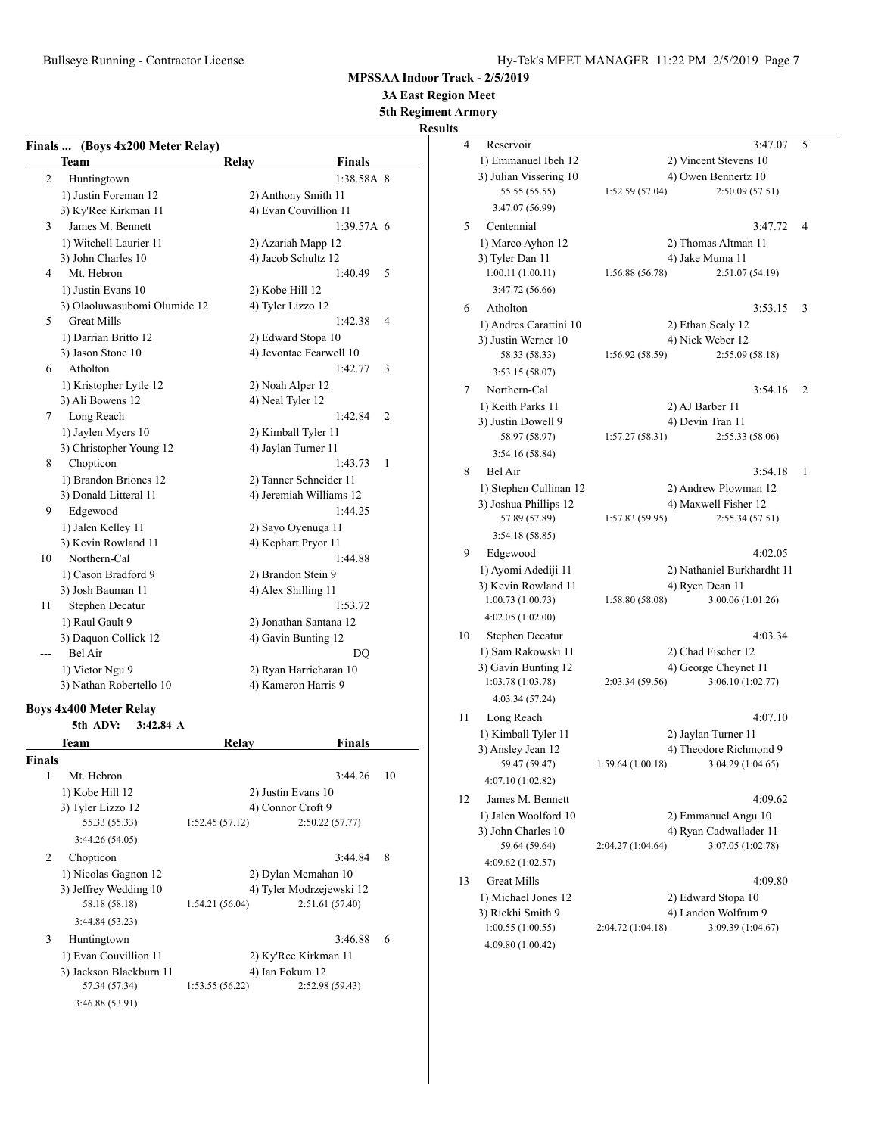Bullseye Running - Contractor License Hy-Tek's MEET MANAGER 11:22 PM 2/5/2019 Page 7

**MPSSAA Indoor Track - 2/5/2019**

**3A East Region Meet**

**5th Regiment Armory**

**Results** 

| Finals | (Boys 4x200 Meter Relay)                                         |                          |                 |    |
|--------|------------------------------------------------------------------|--------------------------|-----------------|----|
|        | Team                                                             | <b>Relay</b>             | <b>Finals</b>   |    |
| 2      | Huntingtown                                                      |                          | 1:38.58A 8      |    |
|        | 1) Justin Foreman 12                                             | 2) Anthony Smith 11      |                 |    |
|        | 3) Ky'Ree Kirkman 11                                             | 4) Evan Couvillion 11    |                 |    |
| 3      | James M. Bennett                                                 |                          | 1:39.57A 6      |    |
|        | 1) Witchell Laurier 11                                           | 2) Azariah Mapp 12       |                 |    |
|        | 3) John Charles 10                                               | 4) Jacob Schultz 12      |                 |    |
| 4      | Mt. Hebron                                                       |                          | 1:40.49         | 5  |
|        | 1) Justin Evans 10                                               | 2) Kobe Hill 12          |                 |    |
|        | 3) Olaoluwasubomi Olumide 12                                     | 4) Tyler Lizzo 12        |                 |    |
| 5      | <b>Great Mills</b>                                               |                          | 1:42.38         | 4  |
|        | 1) Darrian Britto 12                                             | 2) Edward Stopa 10       |                 |    |
|        | 3) Jason Stone 10                                                | 4) Jevontae Fearwell 10  |                 |    |
| 6      | Atholton                                                         |                          | 1:42.77         | 3  |
|        | 1) Kristopher Lytle 12                                           | 2) Noah Alper 12         |                 |    |
|        | 3) Ali Bowens 12                                                 | 4) Neal Tyler 12         |                 |    |
| 7      | Long Reach                                                       |                          | 1:42.84         | 2  |
|        | 1) Jaylen Myers 10                                               | 2) Kimball Tyler 11      |                 |    |
|        | 3) Christopher Young 12                                          | 4) Jaylan Turner 11      |                 |    |
| 8      | Chopticon                                                        |                          | 1:43.73         | 1  |
|        | 1) Brandon Briones 12                                            | 2) Tanner Schneider 11   |                 |    |
|        | 3) Donald Litteral 11                                            | 4) Jeremiah Williams 12  |                 |    |
| 9      | Edgewood                                                         |                          | 1:44.25         |    |
|        | 1) Jalen Kelley 11                                               | 2) Sayo Oyenuga 11       |                 |    |
|        | 3) Kevin Rowland 11                                              | 4) Kephart Pryor 11      |                 |    |
| 10     | Northern-Cal                                                     |                          | 1:44.88         |    |
|        | 1) Cason Bradford 9                                              | 2) Brandon Stein 9       |                 |    |
|        | 3) Josh Bauman 11                                                | 4) Alex Shilling 11      |                 |    |
| 11     | Stephen Decatur                                                  |                          | 1:53.72         |    |
|        | 1) Raul Gault 9                                                  | 2) Jonathan Santana 12   |                 |    |
|        | 3) Daquon Collick 12                                             | 4) Gavin Bunting 12      |                 |    |
|        | Bel Air                                                          |                          | DQ              |    |
|        | 1) Victor Ngu 9                                                  | 2) Ryan Harricharan 10   |                 |    |
|        | 3) Nathan Robertello 10                                          | 4) Kameron Harris 9      |                 |    |
|        |                                                                  |                          |                 |    |
|        | <b>Boys 4x400 Meter Relay</b><br>5th ADV:<br>$3:42.84 \text{ A}$ |                          |                 |    |
|        | Team                                                             | Relay                    | Finals          |    |
| Finals |                                                                  |                          |                 |    |
| -1     | Mt. Hebron                                                       |                          | 3:44.26         | 10 |
|        | 1) Kobe Hill 12                                                  | 2) Justin Evans 10       |                 |    |
|        | 3) Tyler Lizzo 12                                                | 4) Connor Croft 9        |                 |    |
|        | 55.33 (55.33)                                                    | 1:52.45(57.12)           | 2:50.22(57.77)  |    |
|        | 3:44.26 (54.05)                                                  |                          |                 |    |
|        |                                                                  |                          |                 |    |
| 2      | Chopticon                                                        |                          | 3:44.84         | 8  |
|        | 1) Nicolas Gagnon 12                                             | 2) Dylan Mcmahan 10      |                 |    |
|        | 3) Jeffrey Wedding 10                                            | 4) Tyler Modrzejewski 12 |                 |    |
|        | 58.18 (58.18)                                                    | 1:54.21 (56.04)          | 2:51.61 (57.40) |    |
|        | 3:44.84 (53.23)                                                  |                          |                 |    |
| 3      | Huntingtown                                                      |                          | 3:46.88         | 6  |
|        | 1) Evan Couvillion 11                                            | 2) Ky'Ree Kirkman 11     |                 |    |

3) Jackson Blackburn 11 4) Ian Fokum 12<br>57.34 (57.34) 1:53.55 (56.22) 2:52.98

3:46.88 (53.91)

57.34 (57.34) 1:53.55 (56.22) 2:52.98 (59.43)

| 4  | Reservoir              | 3:47.07<br>5                           |  |
|----|------------------------|----------------------------------------|--|
|    | 1) Emmanuel Ibeh 12    | 2) Vincent Stevens 10                  |  |
|    | 3) Julian Vissering 10 | 4) Owen Bennertz 10                    |  |
|    | 55.55 (55.55)          | 2:50.09(57.51)<br>1:52.59(57.04)       |  |
|    | 3:47.07 (56.99)        |                                        |  |
| 5  | Centennial             | 3:47.72<br>4                           |  |
|    | 1) Marco Ayhon 12      | 2) Thomas Altman 11                    |  |
|    | 3) Tyler Dan 11        | 4) Jake Muma 11                        |  |
|    | 1:00.11(1:00.11)       | 1:56.88(56.78)<br>2:51.07 (54.19)      |  |
|    | 3:47.72 (56.66)        |                                        |  |
| 6  | Atholton               | 3:53.15<br>3                           |  |
|    | 1) Andres Carattini 10 | 2) Ethan Sealy 12                      |  |
|    | 3) Justin Werner 10    | 4) Nick Weber 12                       |  |
|    | 58.33 (58.33)          | 2:55.09(58.18)<br>1:56.92(58.59)       |  |
|    | 3:53.15 (58.07)        |                                        |  |
| 7  | Northern-Cal           | 2<br>3:54.16                           |  |
|    | 1) Keith Parks 11      | 2) AJ Barber 11                        |  |
|    | 3) Justin Dowell 9     | 4) Devin Tran 11                       |  |
|    | 58.97 (58.97)          | 1:57.27(58.31)<br>2:55.33 (58.06)      |  |
|    | 3:54.16(58.84)         |                                        |  |
| 8  | Bel Air                | 3:54.18<br>1                           |  |
|    | 1) Stephen Cullinan 12 | 2) Andrew Plowman 12                   |  |
|    | 3) Joshua Phillips 12  | 4) Maxwell Fisher 12                   |  |
|    | 57.89 (57.89)          | 2:55.34(57.51)<br>1:57.83 (59.95)      |  |
|    | 3:54.18(58.85)         |                                        |  |
| 9  | Edgewood               | 4:02.05                                |  |
|    | 1) Ayomi Adediji 11    | 2) Nathaniel Burkhardht 11             |  |
|    | 3) Kevin Rowland 11    | 4) Ryen Dean 11                        |  |
|    | 1:00.73(1:00.73)       | 1:58.80(58.08)<br>3:00.06 (1:01.26)    |  |
|    | 4:02.05 (1:02.00)      |                                        |  |
| 10 | Stephen Decatur        | 4:03.34                                |  |
|    | 1) Sam Rakowski 11     | 2) Chad Fischer 12                     |  |
|    | 3) Gavin Bunting 12    | 4) George Cheynet 11                   |  |
|    | 1:03.78 (1:03.78)      | 3:06.10(1:02.77)<br>2:03.34 (59.56)    |  |
|    | 4:03.34 (57.24)        |                                        |  |
| 11 | Long Reach             | 4:07.10                                |  |
|    | 1) Kimball Tyler 11    | 2) Jaylan Turner 11                    |  |
|    | 3) Ansley Jean 12      | 4) Theodore Richmond 9                 |  |
|    | 59.47 (59.47)          | 1:59.64 (1:00.18)<br>3:04.29 (1:04.65) |  |
|    | 4:07.10 (1:02.82)      |                                        |  |
| 12 | James M. Bennett       | 4:09.62                                |  |
|    | 1) Jalen Woolford 10   | 2) Emmanuel Angu 10                    |  |
|    | 3) John Charles 10     | 4) Ryan Cadwallader 11                 |  |
|    | 59.64 (59.64)          | 3:07.05 (1:02.78)<br>2:04.27 (1:04.64) |  |
|    | 4:09.62 (1:02.57)      |                                        |  |
| 13 | Great Mills            | 4:09.80                                |  |
|    | 1) Michael Jones 12    | 2) Edward Stopa 10                     |  |
|    | 3) Rickhi Smith 9      | 4) Landon Wolfrum 9                    |  |
|    | 1:00.55(1:00.55)       | 3:09.39 (1:04.67)<br>2:04.72 (1:04.18) |  |
|    | 4:09.80 (1:00.42)      |                                        |  |
|    |                        |                                        |  |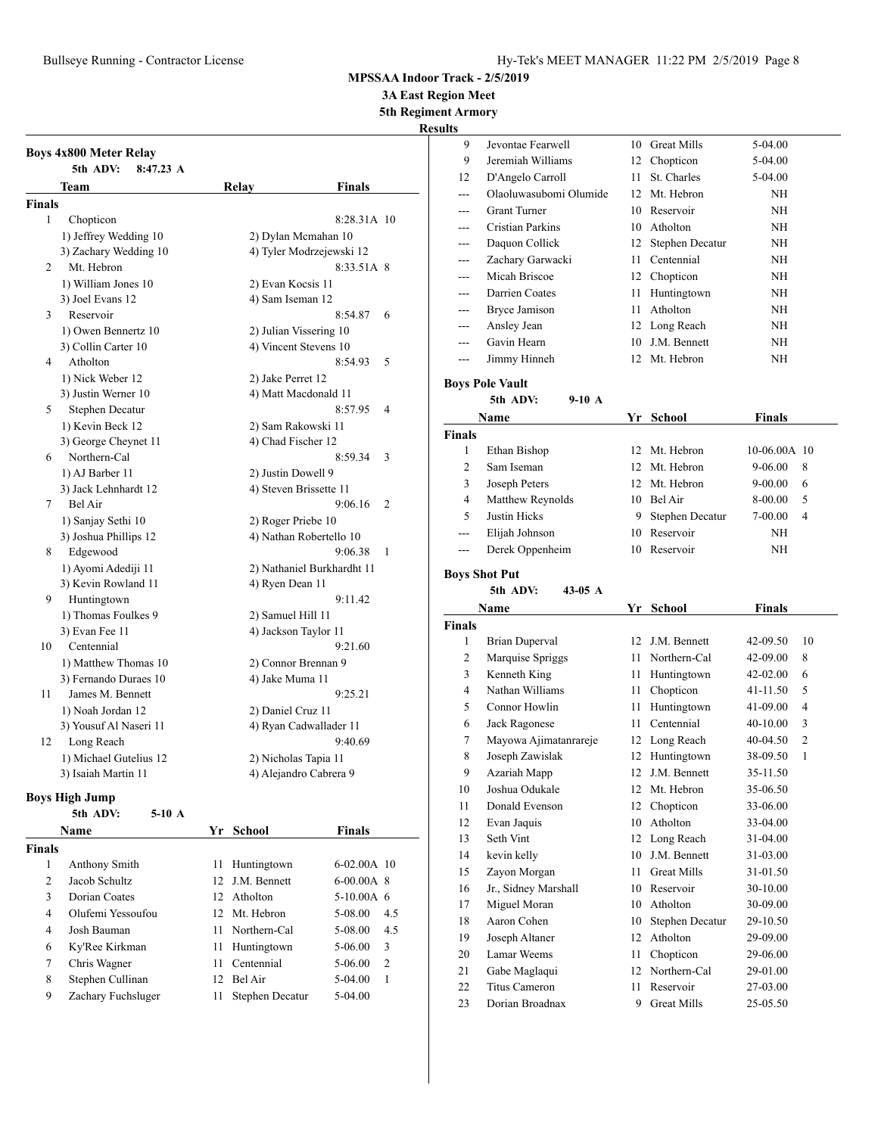**3A East Region Meet**

**5th Regiment Armory**

**Results**

|               | <b>Boys 4x800 Meter Relay</b><br>5th ADV:<br>$8:47.23 \text{ A}$ |                        |                            |
|---------------|------------------------------------------------------------------|------------------------|----------------------------|
|               | Team                                                             | Relay                  | Finals                     |
| <b>Finals</b> |                                                                  |                        |                            |
| 1             | Chopticon                                                        |                        | 8:28.31A 10                |
|               | 1) Jeffrey Wedding 10                                            | 2) Dylan Mcmahan 10    |                            |
|               | 3) Zachary Wedding 10                                            |                        | 4) Tyler Modrzejewski 12   |
| 2             | Mt. Hebron                                                       |                        | 8:33.51A 8                 |
|               | 1) William Jones 10                                              | 2) Evan Kocsis 11      |                            |
|               | 3) Joel Evans 12                                                 | 4) Sam Iseman 12       |                            |
| 3             | Reservoir                                                        |                        | 8:54.87<br>6               |
|               | 1) Owen Bennertz 10                                              | 2) Julian Vissering 10 |                            |
|               | 3) Collin Carter 10                                              | 4) Vincent Stevens 10  |                            |
| 4             | Atholton                                                         |                        | 8:54.93<br>5               |
|               | 1) Nick Weber 12                                                 | 2) Jake Perret 12      |                            |
|               | 3) Justin Werner 10                                              | 4) Matt Macdonald 11   |                            |
| 5             | Stephen Decatur                                                  |                        | 8:57.95<br>4               |
|               | 1) Kevin Beck 12                                                 | 2) Sam Rakowski 11     |                            |
|               | 3) George Cheynet 11                                             | 4) Chad Fischer 12     |                            |
| 6             | Northern-Cal                                                     |                        | 8:59.34<br>3               |
|               | 1) AJ Barber 11                                                  | 2) Justin Dowell 9     |                            |
|               | 3) Jack Lehnhardt 12                                             | 4) Steven Brissette 11 |                            |
| 7             | Bel Air                                                          |                        | 9:06.16<br>2               |
|               | 1) Sanjay Sethi 10                                               | 2) Roger Priebe 10     |                            |
|               | 3) Joshua Phillips 12                                            |                        | 4) Nathan Robertello 10    |
| 8             | Edgewood                                                         |                        | 9:06.38<br>1               |
|               | 1) Ayomi Adediji 11                                              |                        | 2) Nathaniel Burkhardht 11 |
|               | 3) Kevin Rowland 11                                              | 4) Ryen Dean 11        |                            |
| 9             | Huntingtown                                                      |                        | 9:11.42                    |
|               | 1) Thomas Foulkes 9                                              | 2) Samuel Hill 11      |                            |
|               | 3) Evan Fee 11                                                   | 4) Jackson Taylor 11   |                            |
| 10            | Centennial                                                       |                        | 9:21.60                    |
|               | 1) Matthew Thomas 10                                             | 2) Connor Brennan 9    |                            |
|               | 3) Fernando Duraes 10                                            | 4) Jake Muma 11        |                            |
| 11            | James M. Bennett                                                 |                        | 9:25.21                    |
|               | 1) Noah Jordan 12                                                | 2) Daniel Cruz 11      |                            |
|               | 3) Yousuf Al Naseri 11                                           |                        | 4) Ryan Cadwallader 11     |
| 12            | Long Reach                                                       |                        | 9:40.69                    |
|               | 1) Michael Gutelius 12                                           | 2) Nicholas Tapia 11   |                            |
|               | 3) Isaiah Martin 11                                              |                        | 4) Alejandro Cabrera 9     |

## **Boys High Jump**

|               | 5th ADV:<br>$5-10$ A |     |                 |               |                |
|---------------|----------------------|-----|-----------------|---------------|----------------|
|               | Name                 |     | Yr School       | <b>Finals</b> |                |
| <b>Finals</b> |                      |     |                 |               |                |
| 1             | Anthony Smith        | 11  | Huntingtown     | $6-02.00A$ 10 |                |
| 2             | Jacob Schultz        |     | 12 J.M. Bennett | $6-00.00A$ 8  |                |
| 3             | Dorian Coates        | 12  | Atholton        | $5-10.00A$ 6  |                |
| 4             | Olufemi Yessoufou    | 12. | Mt. Hebron      | 5-08.00       | 4.5            |
| 4             | Josh Bauman          | 11  | Northern-Cal    | 5-08.00       | 4.5            |
| 6             | Ky'Ree Kirkman       | 11  | Huntingtown     | 5-06.00       | 3              |
| 7             | Chris Wagner         | 11  | Centennial      | 5-06.00       | $\overline{2}$ |
| 8             | Stephen Cullinan     | 12  | Bel Air         | 5-04.00       | 1              |
| 9             | Zachary Fuchsluger   | 11  | Stephen Decatur | $5-04.00$     |                |

| . . |                        |     |                    |           |  |
|-----|------------------------|-----|--------------------|-----------|--|
| 9   | Jevontae Fearwell      |     | 10 Great Mills     | $5-04.00$ |  |
| 9   | Jeremiah Williams      |     | 12 Chopticon       | 5-04.00   |  |
| 12  | D'Angelo Carroll       | 11. | St. Charles        | 5-04.00   |  |
|     | Olaoluwasubomi Olumide |     | 12 Mt. Hebron      | ΝH        |  |
|     | <b>Grant Turner</b>    |     | 10 Reservoir       | NH        |  |
|     | Cristian Parkins       |     | 10 Atholton        | NH        |  |
| --- | Daquon Collick         |     | 12 Stephen Decatur | NH        |  |
| $-$ | Zachary Garwacki       | 11  | Centennial         | ΝH        |  |
|     | Micah Briscoe          |     | 12 Chopticon       | ΝH        |  |
| --- | Darrien Coates         | 11  | Huntingtown        | ΝH        |  |
| --- | <b>Bryce Jamison</b>   | 11  | Atholton           | NH        |  |
| --- | Ansley Jean            |     | 12 Long Reach      | ΝH        |  |
|     | Gavin Hearn            | 10  | J.M. Bennett       | ΝH        |  |
|     | Jimmy Hinneh           |     | 12 Mt. Hebron      | NH        |  |

# **Boys Pole Vault**

**5th ADV: 9-10 A**

|               | Name             |    | Yr School       | <b>Finals</b>    |  |
|---------------|------------------|----|-----------------|------------------|--|
| <b>Finals</b> |                  |    |                 |                  |  |
|               | Ethan Bishop     |    | 12 Mt. Hebron   | 10-06.00A 10     |  |
| 2             | Sam Iseman       |    | 12 Mt. Hebron   | 9-06.00<br>8     |  |
| 3             | Joseph Peters    |    | 12 Mt. Hebron   | $9 - 00.00$<br>6 |  |
| 4             | Matthew Reynolds | 10 | Bel Air         | 8-00.00<br>5     |  |
| 5             | Justin Hicks     | 9  | Stephen Decatur | 7-00.00<br>4     |  |
| $---$         | Elijah Johnson   | 10 | Reservoir       | ΝH               |  |
| $---$         | Derek Oppenheim  | 10 | Reservoir       | NΗ               |  |

# **Boys Shot Put**

## **5th ADV: 43-05 A**

| Name           |                       | Yr | School             | <b>Finals</b> |    |
|----------------|-----------------------|----|--------------------|---------------|----|
| <b>Finals</b>  |                       |    |                    |               |    |
| 1              | <b>Brian Duperval</b> | 12 | J.M. Bennett       | 42-09.50      | 10 |
| $\overline{c}$ | Marquise Spriggs      | 11 | Northern-Cal       | 42-09.00      | 8  |
| 3              | Kenneth King          | 11 | Huntingtown        | 42-02.00      | 6  |
| 4              | Nathan Williams       | 11 | Chopticon          | $41 - 11.50$  | 5  |
| 5              | Connor Howlin         | 11 | Huntingtown        | 41-09.00      | 4  |
| 6              | Jack Ragonese         | 11 | Centennial         | 40-10.00      | 3  |
| 7              | Mayowa Ajimatanrareje | 12 | Long Reach         | 40-04.50      | 2  |
| 8              | Joseph Zawislak       | 12 | Huntingtown        | 38-09.50      | 1  |
| 9              | Azariah Mapp          | 12 | J.M. Bennett       | 35-11.50      |    |
| 10             | Joshua Odukale        | 12 | Mt. Hebron         | 35-06.50      |    |
| 11             | Donald Evenson        | 12 | Chopticon          | 33-06.00      |    |
| 12             | Evan Jaquis           | 10 | Atholton           | 33-04.00      |    |
| 13             | Seth Vint             | 12 | Long Reach         | 31-04.00      |    |
| 14             | kevin kelly           | 10 | J.M. Bennett       | 31-03.00      |    |
| 15             | Zayon Morgan          | 11 | <b>Great Mills</b> | 31-01.50      |    |
| 16             | Jr., Sidney Marshall  | 10 | Reservoir          | 30-10.00      |    |
| 17             | Miguel Moran          | 10 | Atholton           | 30-09.00      |    |
| 18             | Aaron Cohen           | 10 | Stephen Decatur    | 29-10.50      |    |
| 19             | Joseph Altaner        | 12 | Atholton           | 29-09.00      |    |
| 20             | Lamar Weems           | 11 | Chopticon          | 29-06.00      |    |
| 21             | Gabe Maglaqui         | 12 | Northern-Cal       | 29-01.00      |    |
| 22             | <b>Titus Cameron</b>  | 11 | Reservoir          | 27-03.00      |    |
| 23             | Dorian Broadnax       | 9  | <b>Great Mills</b> | 25-05.50      |    |